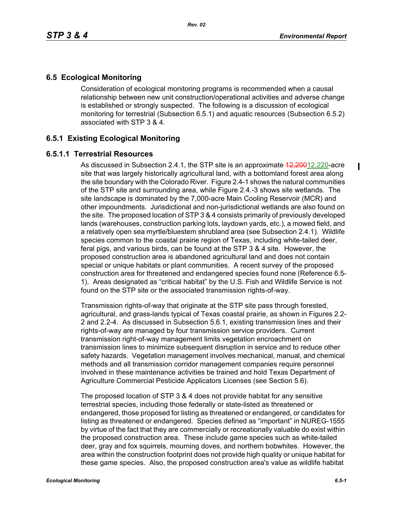# **6.5 Ecological Monitoring**

Consideration of ecological monitoring programs is recommended when a causal relationship between new unit construction/operational activities and adverse change is established or strongly suspected. The following is a discussion of ecological monitoring for terrestrial (Subsection 6.5.1) and aquatic resources (Subsection 6.5.2) associated with STP 3 & 4.

## **6.5.1 Existing Ecological Monitoring**

### **6.5.1.1 Terrestrial Resources**

As discussed in Subsection 2.4.1, the STP site is an approximate  $\frac{42,20012,220}{2}$ -acre site that was largely historically agricultural land, with a bottomland forest area along the site boundary with the Colorado River. Figure 2.4-1 shows the natural communities of the STP site and surrounding area, while Figure 2.4.-3 shows site wetlands. The site landscape is dominated by the 7,000-acre Main Cooling Reservoir (MCR) and other impoundments. Jurisdictional and non-jurisdictional wetlands are also found on the site. The proposed location of STP 3 & 4 consists primarily of previously developed lands (warehouses, construction parking lots, laydown yards, etc.), a mowed field, and a relatively open sea myrtle/bluestem shrubland area (see Subsection 2.4.1). Wildlife species common to the coastal prairie region of Texas, including white-tailed deer, feral pigs, and various birds, can be found at the STP 3 & 4 site. However, the proposed construction area is abandoned agricultural land and does not contain special or unique habitats or plant communities. A recent survey of the proposed construction area for threatened and endangered species found none (Reference 6.5- 1). Areas designated as "critical habitat" by the U.S. Fish and Wildlife Service is not found on the STP site or the associated transmission rights-of-way.

Transmission rights-of-way that originate at the STP site pass through forested, agricultural, and grass-lands typical of Texas coastal prairie, as shown in Figures 2.2- 2 and 2.2-4. As discussed in Subsection 5.6.1, existing transmission lines and their rights-of-way are managed by four transmission service providers. Current transmission right-of-way management limits vegetation encroachment on transmission lines to minimize subsequent disruption in service and to reduce other safety hazards. Vegetation management involves mechanical, manual, and chemical methods and all transmission corridor management companies require personnel involved in these maintenance activities be trained and hold Texas Department of Agriculture Commercial Pesticide Applicators Licenses (see Section 5.6).

The proposed location of STP 3 & 4 does not provide habitat for any sensitive terrestrial species, including those federally or state-listed as threatened or endangered, those proposed for listing as threatened or endangered, or candidates for listing as threatened or endangered. Species defined as "important" in NUREG-1555 by virtue of the fact that they are commercially or recreationally valuable do exist within the proposed construction area. These include game species such as white-tailed deer, gray and fox squirrels, mourning doves, and northern bobwhites. However, the area within the construction footprint does not provide high quality or unique habitat for these game species. Also, the proposed construction area's value as wildlife habitat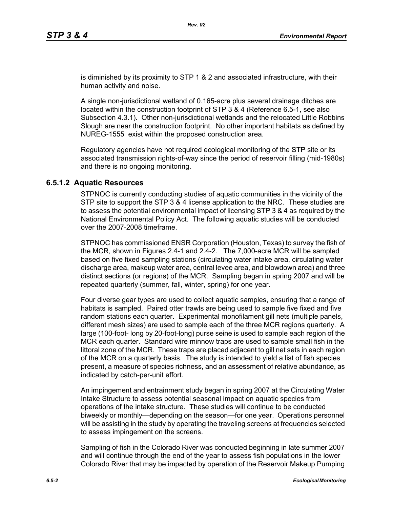is diminished by its proximity to STP 1 & 2 and associated infrastructure, with their human activity and noise.

A single non-jurisdictional wetland of 0.165-acre plus several drainage ditches are located within the construction footprint of STP 3 & 4 (Reference 6.5-1, see also Subsection 4.3.1). Other non-jurisdictional wetlands and the relocated Little Robbins Slough are near the construction footprint. No other important habitats as defined by NUREG-1555 exist within the proposed construction area.

Regulatory agencies have not required ecological monitoring of the STP site or its associated transmission rights-of-way since the period of reservoir filling (mid-1980s) and there is no ongoing monitoring.

#### **6.5.1.2 Aquatic Resources**

STPNOC is currently conducting studies of aquatic communities in the vicinity of the STP site to support the STP 3 & 4 license application to the NRC. These studies are to assess the potential environmental impact of licensing STP 3 & 4 as required by the National Environmental Policy Act. The following aquatic studies will be conducted over the 2007-2008 timeframe.

STPNOC has commissioned ENSR Corporation (Houston, Texas) to survey the fish of the MCR, shown in Figures 2.4-1 and 2.4-2. The 7,000-acre MCR will be sampled based on five fixed sampling stations (circulating water intake area, circulating water discharge area, makeup water area, central levee area, and blowdown area) and three distinct sections (or regions) of the MCR. Sampling began in spring 2007 and will be repeated quarterly (summer, fall, winter, spring) for one year.

Four diverse gear types are used to collect aquatic samples, ensuring that a range of habitats is sampled. Paired otter trawls are being used to sample five fixed and five random stations each quarter. Experimental monofilament gill nets (multiple panels, different mesh sizes) are used to sample each of the three MCR regions quarterly. A large (100-foot- long by 20-foot-long) purse seine is used to sample each region of the MCR each quarter. Standard wire minnow traps are used to sample small fish in the littoral zone of the MCR. These traps are placed adjacent to gill net sets in each region of the MCR on a quarterly basis. The study is intended to yield a list of fish species present, a measure of species richness, and an assessment of relative abundance, as indicated by catch-per-unit effort.

An impingement and entrainment study began in spring 2007 at the Circulating Water Intake Structure to assess potential seasonal impact on aquatic species from operations of the intake structure. These studies will continue to be conducted biweekly or monthly—depending on the season—for one year. Operations personnel will be assisting in the study by operating the traveling screens at frequencies selected to assess impingement on the screens.

Sampling of fish in the Colorado River was conducted beginning in late summer 2007 and will continue through the end of the year to assess fish populations in the lower Colorado River that may be impacted by operation of the Reservoir Makeup Pumping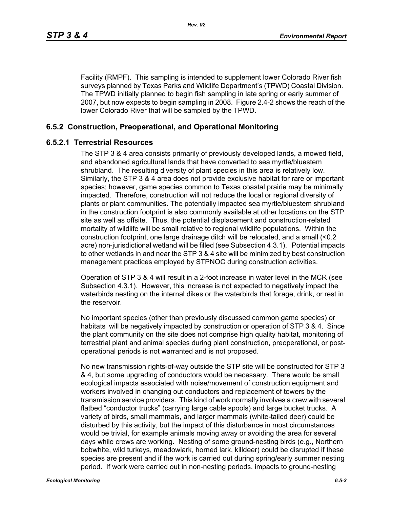Facility (RMPF). This sampling is intended to supplement lower Colorado River fish surveys planned by Texas Parks and Wildlife Department's (TPWD) Coastal Division. The TPWD initially planned to begin fish sampling in late spring or early summer of 2007, but now expects to begin sampling in 2008. Figure 2.4-2 shows the reach of the lower Colorado River that will be sampled by the TPWD.

### **6.5.2 Construction, Preoperational, and Operational Monitoring**

#### **6.5.2.1 Terrestrial Resources**

The STP 3 & 4 area consists primarily of previously developed lands, a mowed field, and abandoned agricultural lands that have converted to sea myrtle/bluestem shrubland. The resulting diversity of plant species in this area is relatively low. Similarly, the STP 3 & 4 area does not provide exclusive habitat for rare or important species; however, game species common to Texas coastal prairie may be minimally impacted. Therefore, construction will not reduce the local or regional diversity of plants or plant communities. The potentially impacted sea myrtle/bluestem shrubland in the construction footprint is also commonly available at other locations on the STP site as well as offsite. Thus, the potential displacement and construction-related mortality of wildlife will be small relative to regional wildlife populations. Within the construction footprint, one large drainage ditch will be relocated, and a small (<0.2 acre) non-jurisdictional wetland will be filled (see Subsection 4.3.1). Potential impacts to other wetlands in and near the STP 3 & 4 site will be minimized by best construction management practices employed by STPNOC during construction activities.

Operation of STP 3 & 4 will result in a 2-foot increase in water level in the MCR (see Subsection 4.3.1). However, this increase is not expected to negatively impact the waterbirds nesting on the internal dikes or the waterbirds that forage, drink, or rest in the reservoir.

No important species (other than previously discussed common game species) or habitats will be negatively impacted by construction or operation of STP 3 & 4. Since the plant community on the site does not comprise high quality habitat, monitoring of terrestrial plant and animal species during plant construction, preoperational, or postoperational periods is not warranted and is not proposed.

No new transmission rights-of-way outside the STP site will be constructed for STP 3 & 4, but some upgrading of conductors would be necessary. There would be small ecological impacts associated with noise/movement of construction equipment and workers involved in changing out conductors and replacement of towers by the transmission service providers. This kind of work normally involves a crew with several flatbed "conductor trucks" (carrying large cable spools) and large bucket trucks. A variety of birds, small mammals, and larger mammals (white-tailed deer) could be disturbed by this activity, but the impact of this disturbance in most circumstances would be trivial, for example animals moving away or avoiding the area for several days while crews are working. Nesting of some ground-nesting birds (e.g., Northern bobwhite, wild turkeys, meadowlark, horned lark, killdeer) could be disrupted if these species are present and if the work is carried out during spring/early summer nesting period. If work were carried out in non-nesting periods, impacts to ground-nesting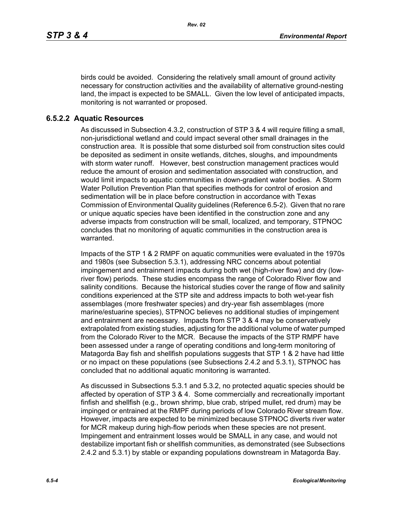birds could be avoided. Considering the relatively small amount of ground activity necessary for construction activities and the availability of alternative ground-nesting land, the impact is expected to be SMALL. Given the low level of anticipated impacts, monitoring is not warranted or proposed.

#### **6.5.2.2 Aquatic Resources**

As discussed in Subsection 4.3.2, construction of STP 3 & 4 will require filling a small, non-jurisdictional wetland and could impact several other small drainages in the construction area. It is possible that some disturbed soil from construction sites could be deposited as sediment in onsite wetlands, ditches, sloughs, and impoundments with storm water runoff. However, best construction management practices would reduce the amount of erosion and sedimentation associated with construction, and would limit impacts to aquatic communities in down-gradient water bodies. A Storm Water Pollution Prevention Plan that specifies methods for control of erosion and sedimentation will be in place before construction in accordance with Texas Commission of Environmental Quality guidelines (Reference 6.5-2). Given that no rare or unique aquatic species have been identified in the construction zone and any adverse impacts from construction will be small, localized, and temporary, STPNOC concludes that no monitoring of aquatic communities in the construction area is warranted.

Impacts of the STP 1 & 2 RMPF on aquatic communities were evaluated in the 1970s and 1980s (see Subsection 5.3.1), addressing NRC concerns about potential impingement and entrainment impacts during both wet (high-river flow) and dry (lowriver flow) periods. These studies encompass the range of Colorado River flow and salinity conditions. Because the historical studies cover the range of flow and salinity conditions experienced at the STP site and address impacts to both wet-year fish assemblages (more freshwater species) and dry-year fish assemblages (more marine/estuarine species), STPNOC believes no additional studies of impingement and entrainment are necessary. Impacts from STP 3 & 4 may be conservatively extrapolated from existing studies, adjusting for the additional volume of water pumped from the Colorado River to the MCR. Because the impacts of the STP RMPF have been assessed under a range of operating conditions and long-term monitoring of Matagorda Bay fish and shellfish populations suggests that STP 1 & 2 have had little or no impact on these populations (see Subsections 2.4.2 and 5.3.1), STPNOC has concluded that no additional aquatic monitoring is warranted.

As discussed in Subsections 5.3.1 and 5.3.2, no protected aquatic species should be affected by operation of STP 3 & 4. Some commercially and recreationally important finfish and shellfish (e.g., brown shrimp, blue crab, striped mullet, red drum) may be impinged or entrained at the RMPF during periods of low Colorado River stream flow. However, impacts are expected to be minimized because STPNOC diverts river water for MCR makeup during high-flow periods when these species are not present. Impingement and entrainment losses would be SMALL in any case, and would not destabilize important fish or shellfish communities, as demonstrated (see Subsections 2.4.2 and 5.3.1) by stable or expanding populations downstream in Matagorda Bay.